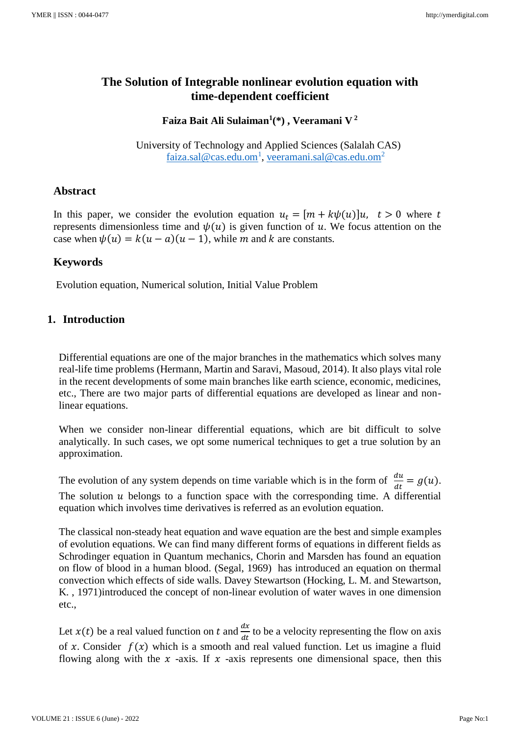# **The Solution of Integrable nonlinear evolution equation with time-dependent coefficient**

**Faiza Bait Ali Sulaiman<sup>1</sup> (\*) , Veeramani V <sup>2</sup>**

 University of Technology and Applied Sciences (Salalah CAS) [faiza.sal@cas.edu.om](mailto:faiza.sal@cas.edu.om1)<sup>1</sup>, [veeramani.sal@cas.edu.om](mailto:veeramani.sal@cas.edu.om2)<sup>2</sup>

## **Abstract**

In this paper, we consider the evolution equation  $u_t = [m + k\psi(u)]u$ ,  $t > 0$  where t represents dimensionless time and  $\psi(u)$  is given function of u. We focus attention on the case when  $\psi(u) = k(u - a)(u - 1)$ , while m and k are constants.

# **Keywords**

Evolution equation, Numerical solution, Initial Value Problem

## **1. Introduction**

Differential equations are one of the major branches in the mathematics which solves many real-life time problems (Hermann, Martin and Saravi, Masoud, 2014). It also plays vital role in the recent developments of some main branches like earth science, economic, medicines, etc., There are two major parts of differential equations are developed as linear and nonlinear equations.

When we consider non-linear differential equations, which are bit difficult to solve analytically. In such cases, we opt some numerical techniques to get a true solution by an approximation.

The evolution of any system depends on time variable which is in the form of  $\frac{du}{dt} = g(u)$ . The solution  $u$  belongs to a function space with the corresponding time. A differential equation which involves time derivatives is referred as an evolution equation.

The classical non-steady heat equation and wave equation are the best and simple examples of evolution equations. We can find many different forms of equations in different fields as Schrodinger equation in Quantum mechanics, Chorin and Marsden has found an equation on flow of blood in a human blood. (Segal, 1969) has introduced an equation on thermal convection which effects of side walls. Davey Stewartson (Hocking, L. M. and Stewartson, K. , 1971)introduced the concept of non-linear evolution of water waves in one dimension etc.,

Let  $x(t)$  be a real valued function on t and  $\frac{dx}{dt}$  to be a velocity representing the flow on axis of x. Consider  $f(x)$  which is a smooth and real valued function. Let us imagine a fluid flowing along with the  $x$  -axis. If  $x$  -axis represents one dimensional space, then this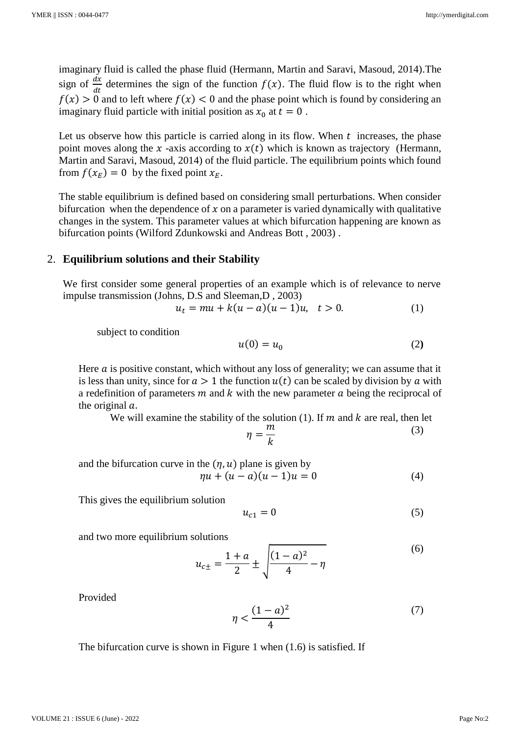imaginary fluid is called the phase fluid (Hermann, Martin and Saravi, Masoud, 2014).The sign of  $\frac{dx}{dt}$  determines the sign of the function  $f(x)$ . The fluid flow is to the right when  $f(x) > 0$  and to left where  $f(x) < 0$  and the phase point which is found by considering an imaginary fluid particle with initial position as  $x_0$  at  $t = 0$ .

Let us observe how this particle is carried along in its flow. When  $t$  increases, the phase point moves along the x-axis according to  $x(t)$  which is known as trajectory (Hermann, Martin and Saravi, Masoud, 2014) of the fluid particle. The equilibrium points which found from  $f(x_E) = 0$  by the fixed point  $x_E$ .

The stable equilibrium is defined based on considering small perturbations. When consider bifurcation when the dependence of  $x$  on a parameter is varied dynamically with qualitative changes in the system. This parameter values at which bifurcation happening are known as bifurcation points (Wilford Zdunkowski and Andreas Bott , 2003) .

#### 2. **Equilibrium solutions and their Stability**

We first consider some general properties of an example which is of relevance to nerve impulse transmission (Johns, D.S and Sleeman,D , 2003)

$$
u_t = mu + k(u - a)(u - 1)u, \quad t > 0.
$$
 (1)

subject to condition

$$
u(0) = u_0 \tag{2}
$$

Here  $\alpha$  is positive constant, which without any loss of generality; we can assume that it is less than unity, since for  $a > 1$  the function  $u(t)$  can be scaled by division by a with a redefinition of parameters  $m$  and  $k$  with the new parameter  $a$  being the reciprocal of the original  $a$ .

We will examine the stability of the solution (1). If  $m$  and  $k$  are real, then let  $\eta =$  $\boldsymbol{m}$  $\boldsymbol{k}$ (3)

and the bifurcation curve in the  $(\eta, u)$  plane is given by  $\eta u + (u - a)(u - 1)u = 0$  (4)

This gives the equilibrium solution

$$
u_{c1} = 0 \tag{5}
$$

and two more equilibrium solutions

$$
u_{c\pm} = \frac{1+a}{2} \pm \sqrt{\frac{(1-a)^2}{4} - \eta}
$$
 (6)

Provided

$$
\eta < \frac{(1-a)^2}{4} \tag{7}
$$

The bifurcation curve is shown in Figure 1 when (1.6) is satisfied. If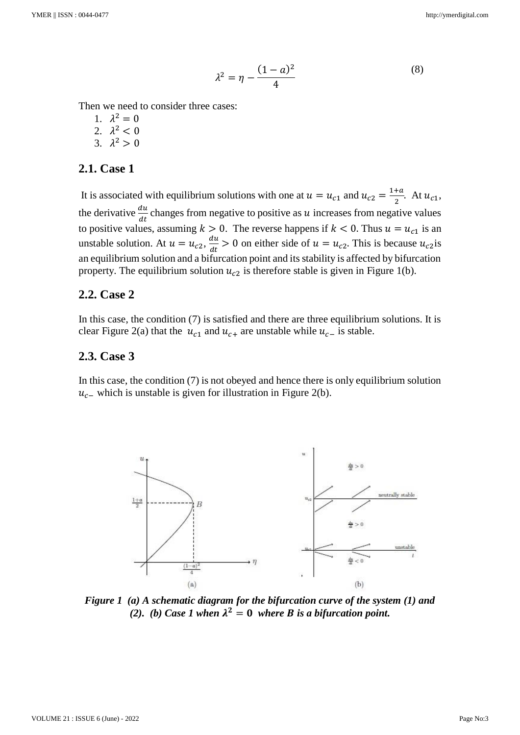$$
\lambda^2 = \eta - \frac{(1-a)^2}{4} \tag{8}
$$

Then we need to consider three cases:

- 1.  $\lambda^2 = 0$
- 2.  $\lambda^2 < 0$
- 3.  $\lambda^2 > 0$

### **2.1. Case 1**

It is associated with equilibrium solutions with one at  $u = u_{c1}$  and  $u_{c2} = \frac{1+a}{2}$  $\frac{du}{2}$ . At  $u_{c1}$ , the derivative  $\frac{du}{dt}$  changes from negative to positive as u increases from negative values to positive values, assuming  $k > 0$ . The reverse happens if  $k < 0$ . Thus  $u = u_{c1}$  is an unstable solution. At  $u = u_{c2}, \frac{du}{dt}$  $\frac{du}{dt} > 0$  on either side of  $u = u_{c2}$ . This is because  $u_{c2}$  is an equilibrium solution and a bifurcation point and its stability is affected by bifurcation property. The equilibrium solution  $u_{c2}$  is therefore stable is given in Figure 1(b).

### **2.2. Case 2**

In this case, the condition (7) is satisfied and there are three equilibrium solutions. It is clear Figure 2(a) that the  $u_{c1}$  and  $u_{c+}$  are unstable while  $u_{c-}$  is stable.

#### **2.3. Case 3**

In this case, the condition (7) is not obeyed and hence there is only equilibrium solution  $u_c$  which is unstable is given for illustration in Figure 2(b).



*Figure 1 (a) A schematic diagram for the bifurcation curve of the system (1) and (2). (b) Case 1 when*  $\lambda^2 = 0$  *where B is a bifurcation point.*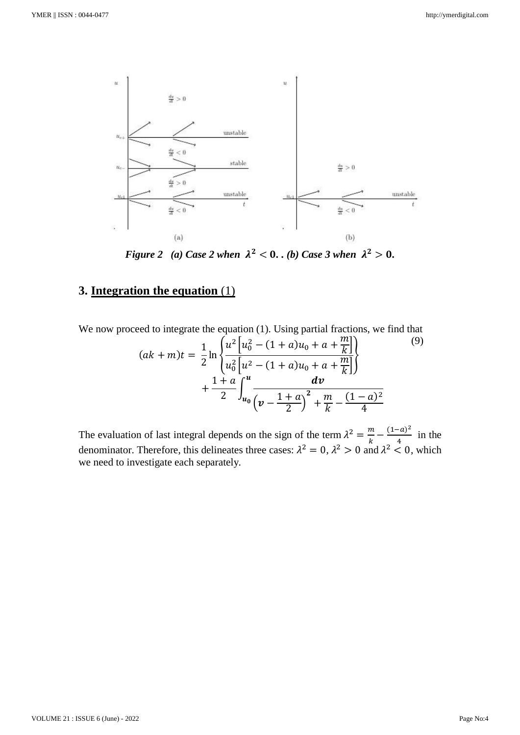

*Figure 2 (a) Case 2 when*  $\lambda^2 < 0$ . *(b) Case 3 when*  $\lambda^2 > 0$ *.* 

# **3. Integration the equation** (1)

We now proceed to integrate the equation (1). Using partial fractions, we find that

$$
(ak+m)t = \frac{1}{2}\ln\left\{\frac{u^2\left[u_0^2 - (1+a)u_0 + a + \frac{m}{k}\right]}{u_0^2\left[u^2 - (1+a)u_0 + a + \frac{m}{k}\right]}\right\}
$$
\n
$$
+\frac{1+a}{2}\int_{u_0}^{u} \frac{dv}{\left(v - \frac{1+a}{2}\right)^2 + \frac{m}{k} - \frac{(1-a)^2}{4}}
$$
\n(9)

The evaluation of last integral depends on the sign of the term  $\lambda^2 = \frac{m}{l}$  $\frac{m}{k} - \frac{(1-a)^2}{4}$  $\frac{1}{4}$  in the denominator. Therefore, this delineates three cases:  $\lambda^2 = 0$ ,  $\lambda^2 > 0$  and  $\lambda^2 < 0$ , which we need to investigate each separately.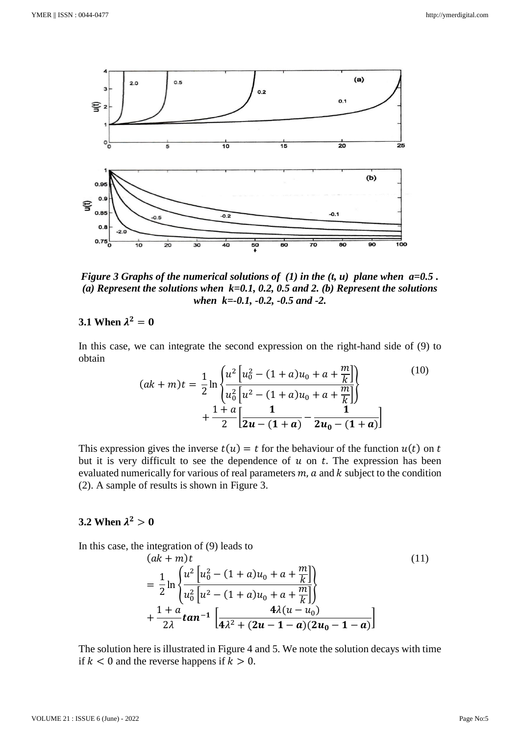

*Figure 3 Graphs of the numerical solutions of (1) in the*  $(t, u)$  *plane when*  $a=0.5$ *. (a) Represent the solutions when k=0.1, 0.2, 0.5 and 2. (b) Represent the solutions when k=-0.1, -0.2, -0.5 and -2.*

# **3.1** When  $\lambda^2 = 0$

In this case, we can integrate the second expression on the right-hand side of (9) to obtain

$$
(ak+m)t = \frac{1}{2}\ln\left\{\frac{u^2\left[u_0^2 - (1+a)u_0 + a + \frac{m}{k}\right]}{u_0^2\left[u^2 - (1+a)u_0 + a + \frac{m}{k}\right]}\right\}
$$
(10)  
+ 
$$
\frac{1+a}{2}\left[\frac{1}{2u - (1+a)} - \frac{1}{2u_0 - (1+a)}\right]
$$

This expression gives the inverse  $t(u) = t$  for the behaviour of the function  $u(t)$  on t but it is very difficult to see the dependence of  $u$  on  $t$ . The expression has been evaluated numerically for various of real parameters  $m$ ,  $a$  and  $k$  subject to the condition (2). A sample of results is shown in Figure 3.

# $3.2 \text{ When } \lambda^2 > 0$

In this case, the integration of (9) leads to

$$
(ak + m)t
$$
\n
$$
= \frac{1}{2} \ln \left\{ \frac{u^2 \left[ u_0^2 - (1 + a)u_0 + a + \frac{m}{k} \right]}{u_0^2 \left[ u^2 - (1 + a)u_0 + a + \frac{m}{k} \right]} \right\}
$$
\n
$$
+ \frac{1 + a}{2\lambda} \tan^{-1} \left[ \frac{4\lambda(u - u_0)}{4\lambda^2 + (2u - 1 - a)(2u_0 - 1 - a)} \right]
$$
\n(11)

The solution here is illustrated in Figure 4 and 5. We note the solution decays with time if  $k < 0$  and the reverse happens if  $k > 0$ .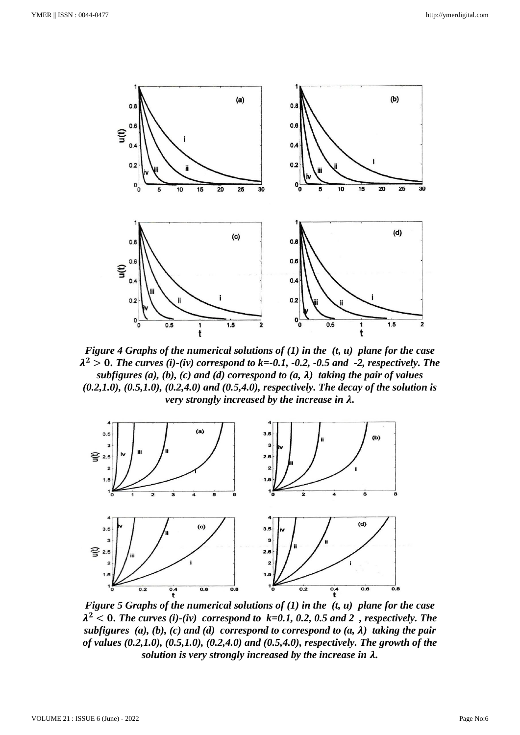

*Figure 4 Graphs of the numerical solutions of (1) in the (t, u) plane for the case*   $\lambda^2 > 0$ . The curves (i)-(iv) correspond to k=-0.1, -0.2, -0.5 and -2, respectively. The *subfigures (a), (b), (c) and (d) correspond to (a,*  $\lambda$ *) taking the pair of values (0.2,1.0), (0.5,1.0), (0.2,4.0) and (0.5,4.0), respectively. The decay of the solution is very strongly increased by the increase in .*



*Figure 5 Graphs of the numerical solutions of (1) in the (t, u) plane for the case*   $\lambda^2$  < 0. The curves (i)-(iv) correspond to  $k=0.1, 0.2, 0.5$  and 2, respectively. The *subfigures* (a), (b), (c) and (d) correspond to correspond to  $(a, \lambda)$  taking the pair *of values (0.2,1.0), (0.5,1.0), (0.2,4.0) and (0.5,4.0), respectively. The growth of the solution is very strongly increased by the increase in .*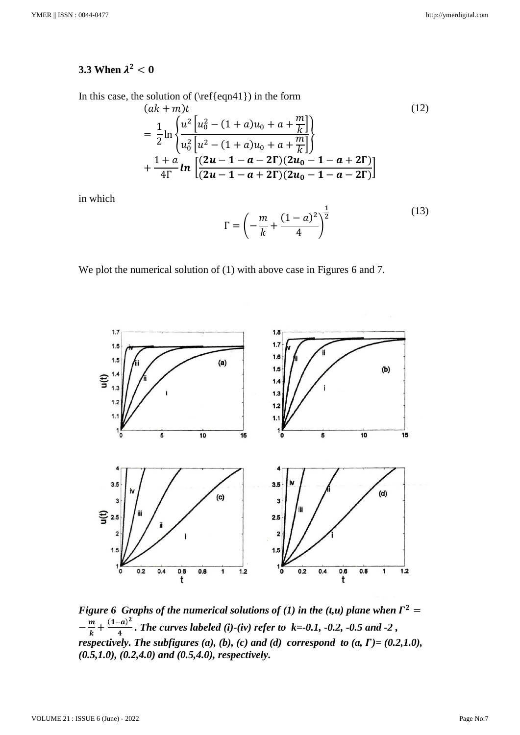# **3.3** When  $\lambda^2 < 0$

In this case, the solution of  $(\ref{eqn41})$  in the form

$$
(ak + m)t
$$
\n
$$
= \frac{1}{2} \ln \left\{ \frac{u^2 \left[ u_0^2 - (1 + a)u_0 + a + \frac{m}{k} \right]}{u_0^2 \left[ u^2 - (1 + a)u_0 + a + \frac{m}{k} \right]} \right\}
$$
\n
$$
+ \frac{1 + a}{4\Gamma} ln \left[ \frac{(2u - 1 - a - 2\Gamma)(2u_0 - 1 - a + 2\Gamma)}{(2u - 1 - a + 2\Gamma)(2u_0 - 1 - a - 2\Gamma)} \right]
$$
\n(12)

in which

$$
\Gamma = \left( -\frac{m}{k} + \frac{(1-a)^2}{4} \right)^{\frac{1}{2}}
$$
(13)

We plot the numerical solution of (1) with above case in Figures 6 and 7.



*Figure 6 Graphs of the numerical solutions of (1) in the (t,u) plane when*  $\Gamma^2 =$  $-\frac{m}{l}$  $\frac{m}{k} + \frac{(1-a)^2}{4}$  *. The curves labeled (i)-(iv) refer to k=-0.1, -0.2, -0.5 and -2 , respectively. The subfigures (a), (b), (c) and (d) correspond to (a,*  $\Gamma$ *)= (0.2,1.0), (0.5,1.0), (0.2,4.0) and (0.5,4.0), respectively.*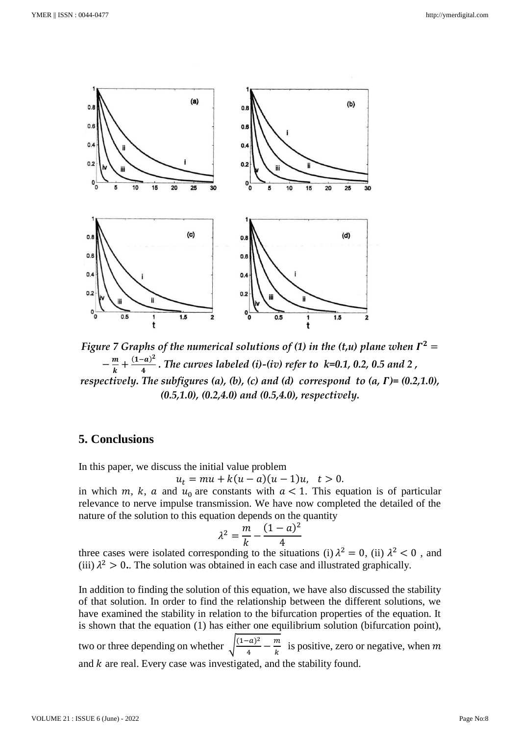

Figure 7 Graphs of the numerical solutions of (1) in the (t,u) plane when  $\Gamma^2 =$  $-\frac{m}{l}$  $\frac{m}{k} + \frac{(1-a)^2}{4}$  $\frac{a}{4}$ . The curves labeled (i)-(iv) refer to  $k=0.1, 0.2, 0.5$  and 2, *respectively. The subfigures (a), (b), (c) and (d) correspond to (a,*  $\Gamma$ *)= (0.2,1.0), (0.5,1.0), (0.2,4.0) and (0.5,4.0), respectively.*

## **5. Conclusions**

In this paper, we discuss the initial value problem

$$
u_t = mu + k(u - a)(u - 1)u, \quad t > 0.
$$

in which m, k, a and  $u_0$  are constants with  $a < 1$ . This equation is of particular relevance to nerve impulse transmission. We have now completed the detailed of the nature of the solution to this equation depends on the quantity

$$
\lambda^2 = \frac{m}{k} - \frac{(1-a)^2}{4}
$$

three cases were isolated corresponding to the situations (i)  $\lambda^2 = 0$ , (ii)  $\lambda^2 < 0$ , and (iii)  $\lambda^2 > 0$ . The solution was obtained in each case and illustrated graphically.

In addition to finding the solution of this equation, we have also discussed the stability of that solution. In order to find the relationship between the different solutions, we have examined the stability in relation to the bifurcation properties of the equation. It is shown that the equation (1) has either one equilibrium solution (bifurcation point), two or three depending on whether  $\int_{0}^{1- a^{2}}$  $\frac{(-a)^2}{4} - \frac{m}{k}$  $\frac{m}{k}$  is positive, zero or negative, when m and  $k$  are real. Every case was investigated, and the stability found.